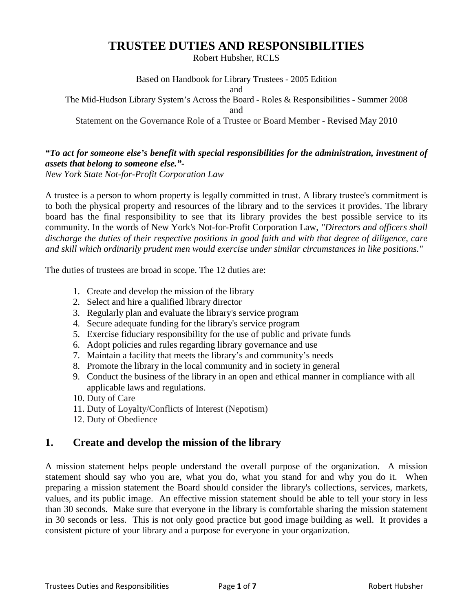## **TRUSTEE DUTIES AND RESPONSIBILITIES**

Robert Hubsher, RCLS

Based on Handbook for Library Trustees - 2005 Edition and The Mid-Hudson Library System's Across the Board - Roles & Responsibilities - Summer 2008 and Statement on the Governance Role of a Trustee or Board Member - Revised May 2010

# *"To act for someone else's benefit with special responsibilities for the administration, investment of assets that belong to someone else."-*

*New York State Not-for-Profit Corporation Law* 

A trustee is a person to whom property is legally committed in trust. A library trustee's commitment is to both the physical property and resources of the library and to the services it provides. The library board has the final responsibility to see that its library provides the best possible service to its community. In the words of New York's Not-for-Profit Corporation Law, *"Directors and officers shall discharge the duties of their respective positions in good faith and with that degree of diligence, care and skill which ordinarily prudent men would exercise under similar circumstances in like positions."* 

The duties of trustees are broad in scope. The 12 duties are:

- 1. Create and develop the mission of the library
- 2. Select and hire a qualified library director
- 3. Regularly plan and evaluate the library's service program
- 4. Secure adequate funding for the library's service program
- 5. Exercise fiduciary responsibility for the use of public and private funds
- 6. Adopt policies and rules regarding library governance and use
- 7. Maintain a facility that meets the library's and community's needs
- 8. Promote the library in the local community and in society in general
- 9. Conduct the business of the library in an open and ethical manner in compliance with all applicable laws and regulations.
- 10. Duty of Care
- 11. Duty of Loyalty/Conflicts of Interest (Nepotism)
- 12. Duty of Obedience

#### **1. Create and develop the mission of the library**

A mission statement helps people understand the overall purpose of the organization. A mission statement should say who you are, what you do, what you stand for and why you do it. When preparing a mission statement the Board should consider the library's collections, services, markets, values, and its public image. An effective mission statement should be able to tell your story in less than 30 seconds. Make sure that everyone in the library is comfortable sharing the mission statement in 30 seconds or less. This is not only good practice but good image building as well. It provides a consistent picture of your library and a purpose for everyone in your organization.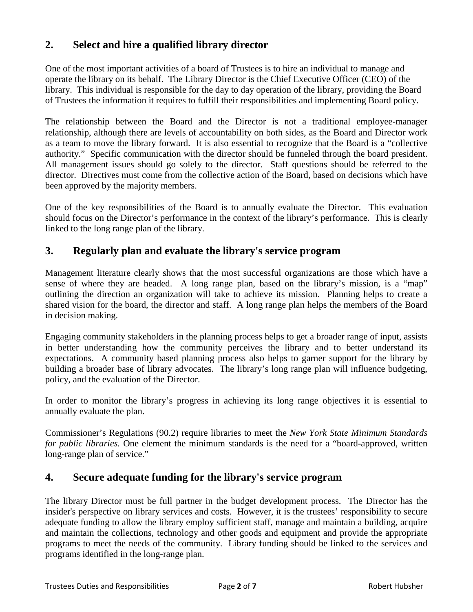## **2. Select and hire a qualified library director**

One of the most important activities of a board of Trustees is to hire an individual to manage and operate the library on its behalf. The Library Director is the Chief Executive Officer (CEO) of the library. This individual is responsible for the day to day operation of the library, providing the Board of Trustees the information it requires to fulfill their responsibilities and implementing Board policy.

The relationship between the Board and the Director is not a traditional employee-manager relationship, although there are levels of accountability on both sides, as the Board and Director work as a team to move the library forward. It is also essential to recognize that the Board is a "collective authority." Specific communication with the director should be funneled through the board president. All management issues should go solely to the director. Staff questions should be referred to the director. Directives must come from the collective action of the Board, based on decisions which have been approved by the majority members.

One of the key responsibilities of the Board is to annually evaluate the Director. This evaluation should focus on the Director's performance in the context of the library's performance. This is clearly linked to the long range plan of the library.

#### **3. Regularly plan and evaluate the library's service program**

Management literature clearly shows that the most successful organizations are those which have a sense of where they are headed. A long range plan, based on the library's mission, is a "map" outlining the direction an organization will take to achieve its mission. Planning helps to create a shared vision for the board, the director and staff. A long range plan helps the members of the Board in decision making.

Engaging community stakeholders in the planning process helps to get a broader range of input, assists in better understanding how the community perceives the library and to better understand its expectations. A community based planning process also helps to garner support for the library by building a broader base of library advocates. The library's long range plan will influence budgeting, policy, and the evaluation of the Director.

In order to monitor the library's progress in achieving its long range objectives it is essential to annually evaluate the plan.

Commissioner's Regulations (90.2) require libraries to meet the *New York State Minimum Standards for public libraries.* One element the minimum standards is the need for a "board-approved, written long-range plan of service."

#### **4. Secure adequate funding for the library's service program**

The library Director must be full partner in the budget development process. The Director has the insider's perspective on library services and costs. However, it is the trustees' responsibility to secure adequate funding to allow the library employ sufficient staff, manage and maintain a building, acquire and maintain the collections, technology and other goods and equipment and provide the appropriate programs to meet the needs of the community. Library funding should be linked to the services and programs identified in the long-range plan.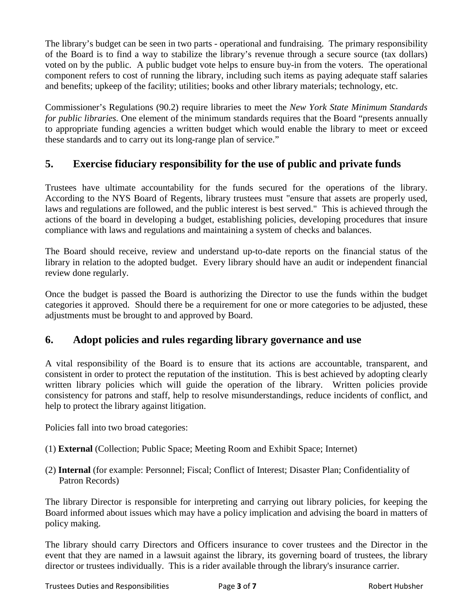The library's budget can be seen in two parts - operational and fundraising. The primary responsibility of the Board is to find a way to stabilize the library's revenue through a secure source (tax dollars) voted on by the public. A public budget vote helps to ensure buy-in from the voters. The operational component refers to cost of running the library, including such items as paying adequate staff salaries and benefits; upkeep of the facility; utilities; books and other library materials; technology, etc.

Commissioner's Regulations (90.2) require libraries to meet the *New York State Minimum Standards for public libraries.* One element of the minimum standards requires that the Board "presents annually to appropriate funding agencies a written budget which would enable the library to meet or exceed these standards and to carry out its long-range plan of service."

#### **5. Exercise fiduciary responsibility for the use of public and private funds**

Trustees have ultimate accountability for the funds secured for the operations of the library. According to the NYS Board of Regents, library trustees must "ensure that assets are properly used, laws and regulations are followed, and the public interest is best served." This is achieved through the actions of the board in developing a budget, establishing policies, developing procedures that insure compliance with laws and regulations and maintaining a system of checks and balances.

The Board should receive, review and understand up-to-date reports on the financial status of the library in relation to the adopted budget. Every library should have an audit or independent financial review done regularly.

Once the budget is passed the Board is authorizing the Director to use the funds within the budget categories it approved. Should there be a requirement for one or more categories to be adjusted, these adjustments must be brought to and approved by Board.

#### **6. Adopt policies and rules regarding library governance and use**

A vital responsibility of the Board is to ensure that its actions are accountable, transparent, and consistent in order to protect the reputation of the institution. This is best achieved by adopting clearly written library policies which will guide the operation of the library. Written policies provide consistency for patrons and staff, help to resolve misunderstandings, reduce incidents of conflict, and help to protect the library against litigation.

Policies fall into two broad categories:

- (1) **External** (Collection; Public Space; Meeting Room and Exhibit Space; Internet)
- (2) **Internal** (for example: Personnel; Fiscal; Conflict of Interest; Disaster Plan; Confidentiality of Patron Records)

The library Director is responsible for interpreting and carrying out library policies, for keeping the Board informed about issues which may have a policy implication and advising the board in matters of policy making.

The library should carry Directors and Officers insurance to cover trustees and the Director in the event that they are named in a lawsuit against the library, its governing board of trustees, the library director or trustees individually. This is a rider available through the library's insurance carrier.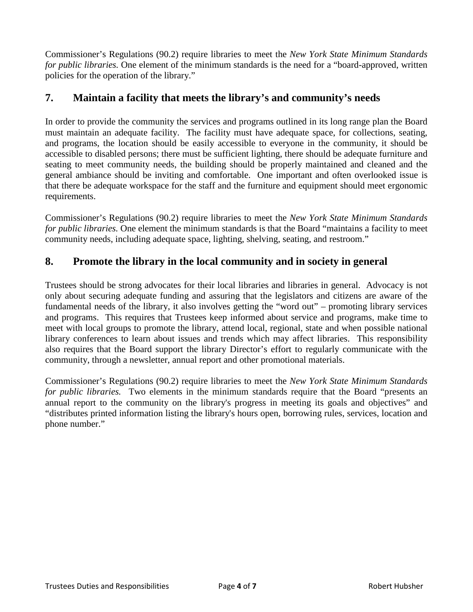Commissioner's Regulations (90.2) require libraries to meet the *New York State Minimum Standards for public libraries.* One element of the minimum standards is the need for a "board-approved, written policies for the operation of the library."

### **7. Maintain a facility that meets the library's and community's needs**

In order to provide the community the services and programs outlined in its long range plan the Board must maintain an adequate facility. The facility must have adequate space, for collections, seating, and programs, the location should be easily accessible to everyone in the community, it should be accessible to disabled persons; there must be sufficient lighting, there should be adequate furniture and seating to meet community needs, the building should be properly maintained and cleaned and the general ambiance should be inviting and comfortable. One important and often overlooked issue is that there be adequate workspace for the staff and the furniture and equipment should meet ergonomic requirements.

Commissioner's Regulations (90.2) require libraries to meet the *New York State Minimum Standards for public libraries.* One element the minimum standards is that the Board "maintains a facility to meet community needs, including adequate space, lighting, shelving, seating, and restroom."

#### **8. Promote the library in the local community and in society in general**

Trustees should be strong advocates for their local libraries and libraries in general. Advocacy is not only about securing adequate funding and assuring that the legislators and citizens are aware of the fundamental needs of the library, it also involves getting the "word out" – promoting library services and programs. This requires that Trustees keep informed about service and programs, make time to meet with local groups to promote the library, attend local, regional, state and when possible national library conferences to learn about issues and trends which may affect libraries. This responsibility also requires that the Board support the library Director's effort to regularly communicate with the community, through a newsletter, annual report and other promotional materials.

Commissioner's Regulations (90.2) require libraries to meet the *New York State Minimum Standards for public libraries.* Two elements in the minimum standards require that the Board "presents an annual report to the community on the library's progress in meeting its goals and objectives" and "distributes printed information listing the library's hours open, borrowing rules, services, location and phone number."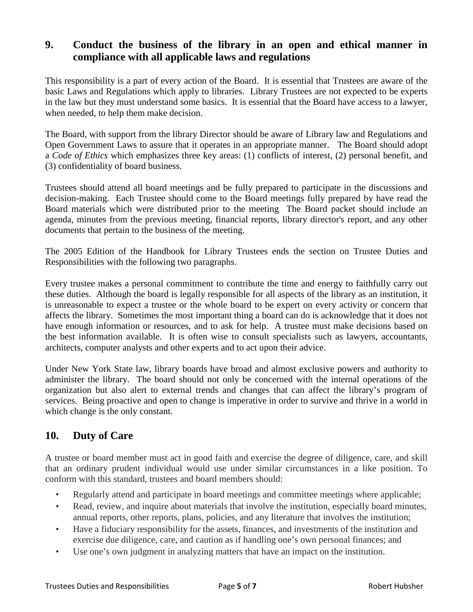#### **9. Conduct the business of the library in an open and ethical manner in compliance with all applicable laws and regulations**

This responsibility is a part of every action of the Board. It is essential that Trustees are aware of the basic Laws and Regulations which apply to libraries. Library Trustees are not expected to be experts in the law but they must understand some basics. It is essential that the Board have access to a lawyer, when needed, to help them make decision.

The Board, with support from the library Director should be aware of Library law and Regulations and Open Government Laws to assure that it operates in an appropriate manner. The Board should adopt a *Code of Ethics* which emphasizes three key areas: (1) conflicts of interest, (2) personal benefit, and (3) confidentiality of board business.

Trustees should attend all board meetings and be fully prepared to participate in the discussions and decision-making. Each Trustee should come to the Board meetings fully prepared by have read the Board materials which were distributed prior to the meeting The Board packet should include an agenda, minutes from the previous meeting, financial reports, library director's report, and any other documents that pertain to the business of the meeting.

The 2005 Edition of the Handbook for Library Trustees ends the section on Trustee Duties and Responsibilities with the following two paragraphs.

Every trustee makes a personal commitment to contribute the time and energy to faithfully carry out these duties. Although the board is legally responsible for all aspects of the library as an institution, it is unreasonable to expect a trustee or the whole board to be expert on every activity or concern that affects the library. Sometimes the most important thing a board can do is acknowledge that it does not have enough information or resources, and to ask for help. A trustee must make decisions based on the best information available. It is often wise to consult specialists such as lawyers, accountants, architects, computer analysts and other experts and to act upon their advice.

Under New York State law, library boards have broad and almost exclusive powers and authority to administer the library. The board should not only be concerned with the internal operations of the organization but also alert to external trends and changes that can affect the library's program of services. Being proactive and open to change is imperative in order to survive and thrive in a world in which change is the only constant.

#### **10. Duty of Care**

A trustee or board member must act in good faith and exercise the degree of diligence, care, and skill that an ordinary prudent individual would use under similar circumstances in a like position. To conform with this standard, trustees and board members should:

- Regularly attend and participate in board meetings and committee meetings where applicable;
- Read, review, and inquire about materials that involve the institution, especially board minutes, annual reports, other reports, plans, policies, and any literature that involves the institution;
- Have a fiduciary responsibility for the assets, finances, and investments of the institution and exercise due diligence, care, and caution as if handling one's own personal finances; and
- Use one's own judgment in analyzing matters that have an impact on the institution.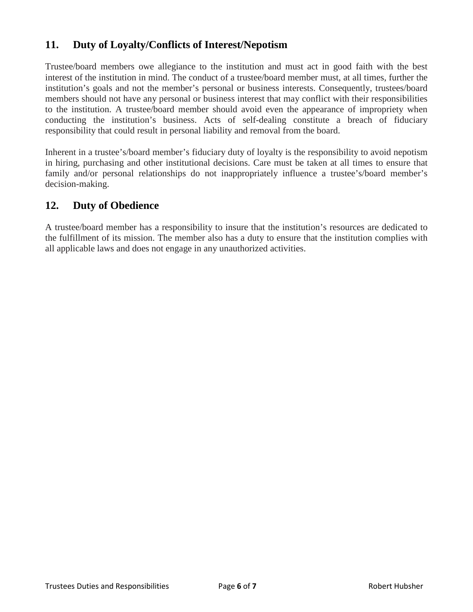## **11. Duty of Loyalty/Conflicts of Interest/Nepotism**

Trustee/board members owe allegiance to the institution and must act in good faith with the best interest of the institution in mind. The conduct of a trustee/board member must, at all times, further the institution's goals and not the member's personal or business interests. Consequently, trustees/board members should not have any personal or business interest that may conflict with their responsibilities to the institution. A trustee/board member should avoid even the appearance of impropriety when conducting the institution's business. Acts of self-dealing constitute a breach of fiduciary responsibility that could result in personal liability and removal from the board.

Inherent in a trustee's/board member's fiduciary duty of loyalty is the responsibility to avoid nepotism in hiring, purchasing and other institutional decisions. Care must be taken at all times to ensure that family and/or personal relationships do not inappropriately influence a trustee's/board member's decision-making.

#### **12. Duty of Obedience**

A trustee/board member has a responsibility to insure that the institution's resources are dedicated to the fulfillment of its mission. The member also has a duty to ensure that the institution complies with all applicable laws and does not engage in any unauthorized activities.